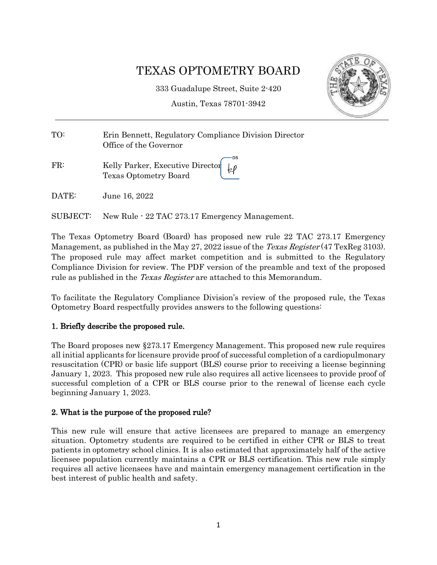# TEXAS OPTOMETRY BOARD

333 Guadalupe Street, Suite 2-420

Austin, Texas 78701-3942

ĿР



| TO: | Erin Bennett, Regulatory Compliance Division Director<br>Office of the Governor |
|-----|---------------------------------------------------------------------------------|
|     | — DS                                                                            |

FR: Kelly Parker, Executive Director Texas Optometry Board

DATE: June 16, 2022

SUBJECT: New Rule - 22 TAC 273.17 Emergency Management.

The Texas Optometry Board (Board) has proposed new rule 22 TAC 273.17 Emergency Management, as published in the May 27, 2022 issue of the *Texas Register* (47 TexReg 3103). The proposed rule may affect market competition and is submitted to the Regulatory Compliance Division for review. The PDF version of the preamble and text of the proposed rule as published in the *Texas Register* are attached to this Memorandum.

To facilitate the Regulatory Compliance Division's review of the proposed rule, the Texas Optometry Board respectfully provides answers to the following questions:

## 1. Briefly describe the proposed rule.

The Board proposes new §273.17 Emergency Management. This proposed new rule requires all initial applicants for licensure provide proof of successful completion of a cardiopulmonary resuscitation (CPR) or basic life support (BLS) course prior to receiving a license beginning January 1, 2023. This proposed new rule also requires all active licensees to provide proof of successful completion of a CPR or BLS course prior to the renewal of license each cycle beginning January 1, 2023.

## 2. What is the purpose of the proposed rule?

This new rule will ensure that active licensees are prepared to manage an emergency situation. Optometry students are required to be certified in either CPR or BLS to treat patients in optometry school clinics. It is also estimated that approximately half of the active licensee population currently maintains a CPR or BLS certification. This new rule simply requires all active licensees have and maintain emergency management certification in the best interest of public health and safety.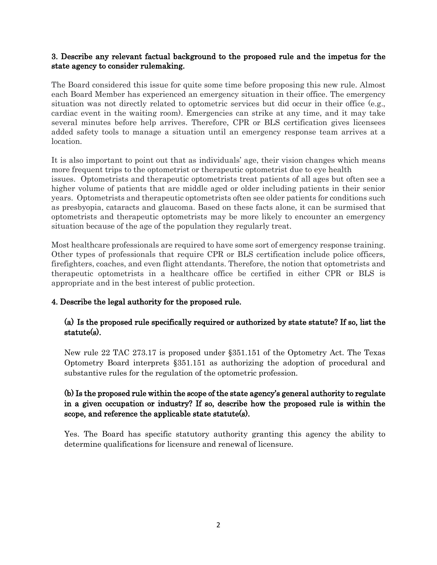#### 3. Describe any relevant factual background to the proposed rule and the impetus for the state agency to consider rulemaking.

The Board considered this issue for quite some time before proposing this new rule. Almost each Board Member has experienced an emergency situation in their office. The emergency situation was not directly related to optometric services but did occur in their office (e.g., cardiac event in the waiting room). Emergencies can strike at any time, and it may take several minutes before help arrives. Therefore, CPR or BLS certification gives licensees added safety tools to manage a situation until an emergency response team arrives at a location.

It is also important to point out that as individuals' age, their vision changes which means more frequent trips to the optometrist or therapeutic optometrist due to eye health issues. Optometrists and therapeutic optometrists treat patients of all ages but often see a higher volume of patients that are middle aged or older including patients in their senior years. Optometrists and therapeutic optometrists often see older patients for conditions such as presbyopia, cataracts and glaucoma. Based on these facts alone, it can be surmised that optometrists and therapeutic optometrists may be more likely to encounter an emergency situation because of the age of the population they regularly treat.

Most healthcare professionals are required to have some sort of emergency response training. Other types of professionals that require CPR or BLS certification include police officers, firefighters, coaches, and even flight attendants. Therefore, the notion that optometrists and therapeutic optometrists in a healthcare office be certified in either CPR or BLS is appropriate and in the best interest of public protection.

#### 4. Describe the legal authority for the proposed rule.

## (a) Is the proposed rule specifically required or authorized by state statute? If so, list the statute(s).

New rule 22 TAC 273.17 is proposed under §351.151 of the Optometry Act. The Texas Optometry Board interprets §351.151 as authorizing the adoption of procedural and substantive rules for the regulation of the optometric profession.

# (b) Is the proposed rule within the scope of the state agency's general authority to regulate in a given occupation or industry? If so, describe how the proposed rule is within the scope, and reference the applicable state statute(s).

Yes. The Board has specific statutory authority granting this agency the ability to determine qualifications for licensure and renewal of licensure.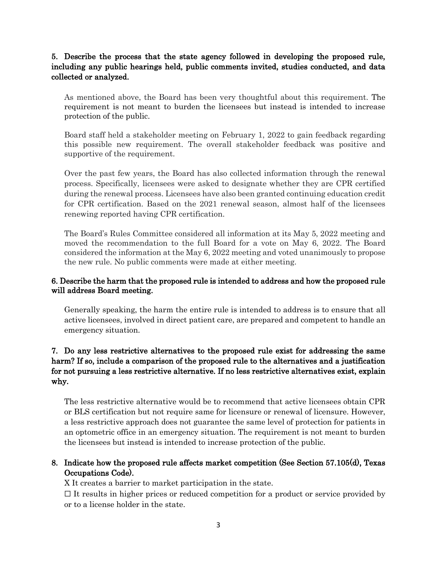## 5. Describe the process that the state agency followed in developing the proposed rule, including any public hearings held, public comments invited, studies conducted, and data collected or analyzed.

As mentioned above, the Board has been very thoughtful about this requirement. The requirement is not meant to burden the licensees but instead is intended to increase protection of the public.

Board staff held a stakeholder meeting on February 1, 2022 to gain feedback regarding this possible new requirement. The overall stakeholder feedback was positive and supportive of the requirement.

Over the past few years, the Board has also collected information through the renewal process. Specifically, licensees were asked to designate whether they are CPR certified during the renewal process. Licensees have also been granted continuing education credit for CPR certification. Based on the 2021 renewal season, almost half of the licensees renewing reported having CPR certification.

The Board's Rules Committee considered all information at its May 5, 2022 meeting and moved the recommendation to the full Board for a vote on May 6, 2022. The Board considered the information at the May 6, 2022 meeting and voted unanimously to propose the new rule. No public comments were made at either meeting.

## 6. Describe the harm that the proposed rule is intended to address and how the proposed rule will address Board meeting.

Generally speaking, the harm the entire rule is intended to address is to ensure that all active licensees, involved in direct patient care, are prepared and competent to handle an emergency situation.

# 7. Do any less restrictive alternatives to the proposed rule exist for addressing the same harm? If so, include a comparison of the proposed rule to the alternatives and a justification for not pursuing a less restrictive alternative. If no less restrictive alternatives exist, explain why.

The less restrictive alternative would be to recommend that active licensees obtain CPR or BLS certification but not require same for licensure or renewal of licensure. However, a less restrictive approach does not guarantee the same level of protection for patients in an optometric office in an emergency situation. The requirement is not meant to burden the licensees but instead is intended to increase protection of the public.

## 8. Indicate how the proposed rule affects market competition (See Section 57.105(d), Texas Occupations Code).

X It creates a barrier to market participation in the state.

 $\Box$  It results in higher prices or reduced competition for a product or service provided by or to a license holder in the state.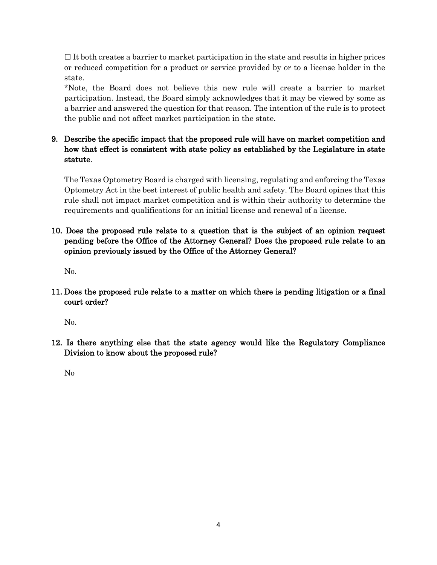$\Box$  It both creates a barrier to market participation in the state and results in higher prices or reduced competition for a product or service provided by or to a license holder in the state.

\*Note, the Board does not believe this new rule will create a barrier to market participation. Instead, the Board simply acknowledges that it may be viewed by some as a barrier and answered the question for that reason. The intention of the rule is to protect the public and not affect market participation in the state.

# 9. Describe the specific impact that the proposed rule will have on market competition and how that effect is consistent with state policy as established by the Legislature in state statute.

The Texas Optometry Board is charged with licensing, regulating and enforcing the Texas Optometry Act in the best interest of public health and safety. The Board opines that this rule shall not impact market competition and is within their authority to determine the requirements and qualifications for an initial license and renewal of a license.

# 10. Does the proposed rule relate to a question that is the subject of an opinion request pending before the Office of the Attorney General? Does the proposed rule relate to an opinion previously issued by the Office of the Attorney General?

No.

11. Does the proposed rule relate to a matter on which there is pending litigation or a final court order?

No.

12. Is there anything else that the state agency would like the Regulatory Compliance Division to know about the proposed rule?

No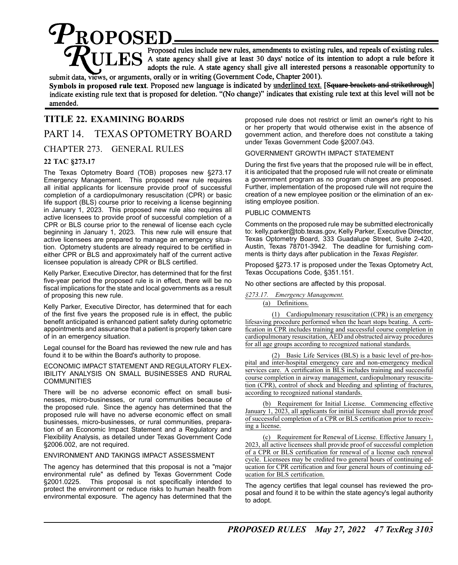$\boldsymbol{\varphi}_{\textrm{ROPOSED}}$ Proposed rules include new rules, amendments to existing rules, and repeals of existing rules. adopts the rule. A state agency shall give all interested persons a reasonable opportunity to submit data, views, or arguments, orally or in writing (Government Code, Chapter 2001).

Symbols in proposed rule text. Proposed new language is indicated by underlined text. [Square brackets and strikethrough] indicate existing rule text that is proposed for deletion. "(No change)" indicates that existing rule text at this level will not be amended.

# **TITLE 22. EXAMINING BOARDS**

# PART 14. TEXAS OPTOMETRY BOARD

CHAPTER 273. GENERAL RULES

#### **22 TAC §273.17**

The Texas Optometry Board (TOB) proposes new §273.17 Emergency Management. This proposed new rule requires all initial applicants for licensure provide proof of successful completion of a cardiopulmonary resuscitation (CPR) or basic life support (BLS) course prior to receiving a license beginning in January 1, 2023. This proposed new rule also requires all active licensees to provide proof of successful completion of a CPR or BLS course prior to the renewal of license each cycle beginning in January 1, 2023. This new rule will ensure that active licensees are prepared to manage an emergency situation. Optometry students are already required to be certified in either CPR or BLS and approximately half of the current active licensee population is already CPR or BLS certified.

Kelly Parker, Executive Director, has determined that for the first five-year period the proposed rule is in effect, there will be no fiscal implications for the state and local governments as a result of proposing this new rule.

Kelly Parker, Executive Director, has determined that for each of the first five years the proposed rule is in effect, the public benefit anticipated is enhanced patient safety during optometric appointments and assurance that a patient is properly taken care of in an emergency situation.

Legal counsel for the Board has reviewed the new rule and has found it to be within the Board's authority to propose.

ECONOMIC IMPACT STATEMENT AND REGULATORY FLEX-IBILITY ANALYSIS ON SMALL BUSINESSES AND RURAL COMMUNITIES

There will be no adverse economic effect on small businesses, micro-businesses, or rural communities because of the proposed rule. Since the agency has determined that the proposed rule will have no adverse economic effect on small businesses, micro-businesses, or rural communities, preparation of an Economic Impact Statement and a Regulatory and Flexibility Analysis, as detailed under Texas Government Code §2006.002, are not required.

#### ENVIRONMENT AND TAKINGS IMPACT ASSESSMENT

The agency has determined that this proposal is not a "major environmental rule" as defined by Texas Government Code §2001.0225. This proposal is not specifically intended to protect the environment or reduce risks to human health from environmental exposure. The agency has determined that the

proposed rule does not restrict or limit an owner's right to his or her property that would otherwise exist in the absence of government action, and therefore does not constitute a taking under Texas Government Code §2007.043.

#### GOVERNMENT GROWTH IMPACT STATEMENT

During the first five years that the proposed rule will be in effect, it is anticipated that the proposed rule will not create or eliminate a government program as no program changes are proposed. Further, implementation of the proposed rule will not require the creation of a new employee position or the elimination of an existing employee position.

#### PUBLIC COMMENTS

Comments on the proposed rule may be submitted electronically to: kelly.parker@tob.texas.gov, Kelly Parker, Executive Director, Texas Optometry Board, 333 Guadalupe Street, Suite 2-420, Austin, Texas 78701-3942. The deadline for furnishing comments is thirty days after publication in the *Texas Register.*

Proposed §273.17 is proposed under the Texas Optometry Act, Texas Occupations Code, §351.151.

No other sections are affected by this proposal.

*§273.17. Emergency Management.* (a) Definitions.

(1) Cardiopulmonary resuscitation (CPR) is an emergency lifesaving procedure performed when the heart stops beating. A certification in CPR includes training and successful course completion in cardiopulmonary resuscitation, AED and obstructed airway procedures for all age groups according to recognized national standards.

(2) Basic Life Services (BLS) is a basic level of pre-hospital and inter-hospital emergency care and non-emergency medical services care. A certification in BLS includes training and successful course completion in airway management, cardiopulmonary resuscitation (CPR), control of shock and bleeding and splinting of fractures, according to recognized national standards.

(b) Requirement for Initial License. Commencing effective January 1, 2023, all applicants for initial licensure shall provide proof of successful completion of a CPR or BLS certification prior to receiving a license.

(c) Requirement for Renewal of License. Effective January 1, 2023, all active licensees shall provide proof of successful completion of a CPR or BLS certification for renewal of a license each renewal cycle. Licensees may be credited two general hours of continuing education for CPR certification and four general hours of continuing education for BLS certification.

The agency certifies that legal counsel has reviewed the proposal and found it to be within the state agency's legal authority to adopt.